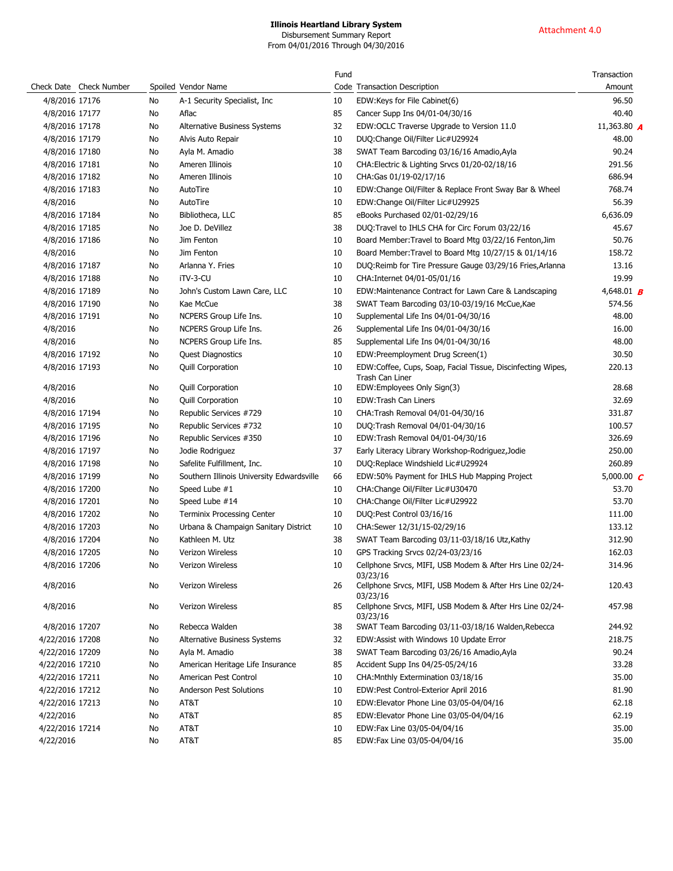Disbursement Summary Report From 04/01/2016 Through 04/30/2016

|                 |                         |    |                                           | Fund |                                                                                | Transaction               |
|-----------------|-------------------------|----|-------------------------------------------|------|--------------------------------------------------------------------------------|---------------------------|
|                 | Check Date Check Number |    | Spoiled Vendor Name                       |      | Code Transaction Description                                                   | Amount                    |
| 4/8/2016 17176  |                         | No | A-1 Security Specialist, Inc.             | 10   | EDW:Keys for File Cabinet(6)                                                   | 96.50                     |
| 4/8/2016 17177  |                         | No | Aflac                                     | 85   | Cancer Supp Ins 04/01-04/30/16                                                 | 40.40                     |
| 4/8/2016 17178  |                         | No | Alternative Business Systems              | 32   | EDW:OCLC Traverse Upgrade to Version 11.0                                      | 11,363.80 <b>A</b>        |
| 4/8/2016 17179  |                         | No | Alvis Auto Repair                         | 10   | DUQ:Change Oil/Filter Lic#U29924                                               | 48.00                     |
| 4/8/2016 17180  |                         | No | Ayla M. Amadio                            | 38   | SWAT Team Barcoding 03/16/16 Amadio, Ayla                                      | 90.24                     |
| 4/8/2016 17181  |                         | No | Ameren Illinois                           | 10   | CHA: Electric & Lighting Srvcs 01/20-02/18/16                                  | 291.56                    |
| 4/8/2016 17182  |                         | No | Ameren Illinois                           | 10   | CHA:Gas 01/19-02/17/16                                                         | 686.94                    |
| 4/8/2016 17183  |                         | No | AutoTire                                  | 10   | EDW:Change Oil/Filter & Replace Front Sway Bar & Wheel                         | 768.74                    |
| 4/8/2016        |                         | No | AutoTire                                  | 10   | EDW:Change Oil/Filter Lic#U29925                                               | 56.39                     |
| 4/8/2016 17184  |                         | No | Bibliotheca, LLC                          | 85   | eBooks Purchased 02/01-02/29/16                                                | 6,636.09                  |
| 4/8/2016 17185  |                         | No | Joe D. DeVillez                           | 38   | DUQ:Travel to IHLS CHA for Circ Forum 03/22/16                                 | 45.67                     |
| 4/8/2016 17186  |                         | No | Jim Fenton                                | 10   | Board Member: Travel to Board Mtg 03/22/16 Fenton, Jim                         | 50.76                     |
| 4/8/2016        |                         | No | Jim Fenton                                | 10   | Board Member: Travel to Board Mtg 10/27/15 & 01/14/16                          | 158.72                    |
| 4/8/2016 17187  |                         | No | Arlanna Y. Fries                          | 10   | DUQ:Reimb for Tire Pressure Gauge 03/29/16 Fries, Arlanna                      | 13.16                     |
| 4/8/2016 17188  |                         | No | iTV-3-CU                                  | 10   | CHA: Internet 04/01-05/01/16                                                   | 19.99                     |
| 4/8/2016 17189  |                         | No | John's Custom Lawn Care, LLC              | 10   | EDW:Maintenance Contract for Lawn Care & Landscaping                           | 4,648.01 <b>B</b>         |
| 4/8/2016 17190  |                         | No | Kae McCue                                 | 38   | SWAT Team Barcoding 03/10-03/19/16 McCue, Kae                                  | 574.56                    |
| 4/8/2016 17191  |                         | No | NCPERS Group Life Ins.                    | 10   | Supplemental Life Ins 04/01-04/30/16                                           | 48.00                     |
| 4/8/2016        |                         | No | NCPERS Group Life Ins.                    | 26   | Supplemental Life Ins 04/01-04/30/16                                           | 16.00                     |
| 4/8/2016        |                         | No | NCPERS Group Life Ins.                    | 85   | Supplemental Life Ins 04/01-04/30/16                                           | 48.00                     |
| 4/8/2016 17192  |                         | No | <b>Quest Diagnostics</b>                  | 10   | EDW:Preemployment Drug Screen(1)                                               | 30.50                     |
| 4/8/2016 17193  |                         | No | <b>Quill Corporation</b>                  | 10   | EDW:Coffee, Cups, Soap, Facial Tissue, Discinfecting Wipes,<br>Trash Can Liner | 220.13                    |
| 4/8/2016        |                         | No | Quill Corporation                         | 10   | EDW:Employees Only Sign(3)                                                     | 28.68                     |
| 4/8/2016        |                         | No | <b>Quill Corporation</b>                  | 10   | EDW:Trash Can Liners                                                           | 32.69                     |
| 4/8/2016 17194  |                         | No | Republic Services #729                    | 10   | CHA: Trash Removal 04/01-04/30/16                                              | 331.87                    |
| 4/8/2016 17195  |                         | No | Republic Services #732                    | 10   | DUQ:Trash Removal 04/01-04/30/16                                               | 100.57                    |
| 4/8/2016 17196  |                         | No | Republic Services #350                    | 10   | EDW:Trash Removal 04/01-04/30/16                                               | 326.69                    |
| 4/8/2016 17197  |                         | No | Jodie Rodriguez                           | 37   | Early Literacy Library Workshop-Rodriguez, Jodie                               | 250.00                    |
| 4/8/2016 17198  |                         | No | Safelite Fulfillment, Inc.                | 10   | DUQ:Replace Windshield Lic#U29924                                              | 260.89                    |
| 4/8/2016 17199  |                         | No | Southern Illinois University Edwardsville | 66   | EDW:50% Payment for IHLS Hub Mapping Project                                   | 5,000.00 $\boldsymbol{C}$ |
| 4/8/2016 17200  |                         | No | Speed Lube #1                             | 10   | CHA: Change Oil/Filter Lic#U30470                                              | 53.70                     |
| 4/8/2016 17201  |                         | No | Speed Lube #14                            | 10   | CHA: Change Oil/Filter Lic#U29922                                              | 53.70                     |
| 4/8/2016 17202  |                         | No | <b>Terminix Processing Center</b>         | 10   | DUQ:Pest Control 03/16/16                                                      | 111.00                    |
| 4/8/2016 17203  |                         | No | Urbana & Champaign Sanitary District      | 10   | CHA:Sewer 12/31/15-02/29/16                                                    | 133.12                    |
| 4/8/2016 17204  |                         | No | Kathleen M. Utz                           | 38   | SWAT Team Barcoding 03/11-03/18/16 Utz, Kathy                                  | 312.90                    |
| 4/8/2016 17205  |                         | No | Verizon Wireless                          | 10   | GPS Tracking Srvcs 02/24-03/23/16                                              | 162.03                    |
| 4/8/2016 17206  |                         | No | Verizon Wireless                          | 10   | Cellphone Srvcs, MIFI, USB Modem & After Hrs Line 02/24-<br>03/23/16           | 314.96                    |
| 4/8/2016        |                         | No | Verizon Wireless                          | 26   | Cellphone Srvcs, MIFI, USB Modem & After Hrs Line 02/24-<br>03/23/16           | 120.43                    |
| 4/8/2016        |                         | No | Verizon Wireless                          | 85   | Cellphone Srvcs, MIFI, USB Modem & After Hrs Line 02/24-<br>03/23/16           | 457.98                    |
| 4/8/2016 17207  |                         | No | Rebecca Walden                            | 38   | SWAT Team Barcoding 03/11-03/18/16 Walden, Rebecca                             | 244.92                    |
| 4/22/2016 17208 |                         | No | Alternative Business Systems              | 32   | EDW:Assist with Windows 10 Update Error                                        | 218.75                    |
| 4/22/2016 17209 |                         | No | Ayla M. Amadio                            | 38   | SWAT Team Barcoding 03/26/16 Amadio, Ayla                                      | 90.24                     |
| 4/22/2016 17210 |                         | No | American Heritage Life Insurance          | 85   | Accident Supp Ins 04/25-05/24/16                                               | 33.28                     |
| 4/22/2016 17211 |                         | No | American Pest Control                     | 10   | CHA: Mnthly Extermination 03/18/16                                             | 35.00                     |
| 4/22/2016 17212 |                         | No | Anderson Pest Solutions                   | 10   | EDW:Pest Control-Exterior April 2016                                           | 81.90                     |
| 4/22/2016 17213 |                         | No | AT&T                                      | 10   | EDW:Elevator Phone Line 03/05-04/04/16                                         | 62.18                     |
| 4/22/2016       |                         | No | AT&T                                      | 85   | EDW:Elevator Phone Line 03/05-04/04/16                                         | 62.19                     |
| 4/22/2016 17214 |                         | No | AT&T                                      | 10   | EDW:Fax Line 03/05-04/04/16                                                    | 35.00                     |
| 4/22/2016       |                         | No | AT&T                                      | 85   | EDW:Fax Line 03/05-04/04/16                                                    | 35.00                     |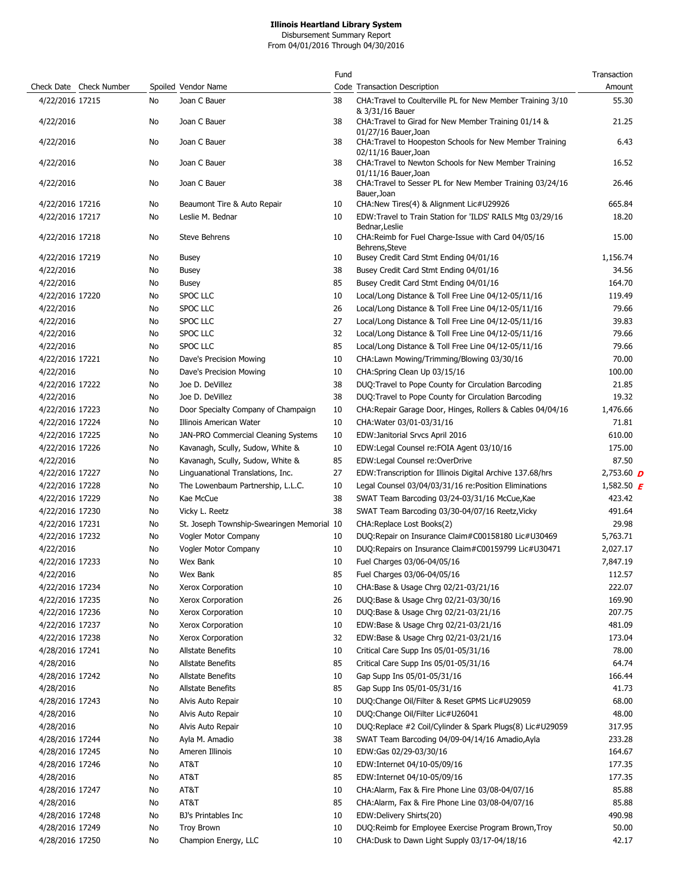Disbursement Summary Report

From 04/01/2016 Through 04/30/2016

|                         |    |                                            | Fund |                                                                                  | Transaction             |
|-------------------------|----|--------------------------------------------|------|----------------------------------------------------------------------------------|-------------------------|
| Check Date Check Number |    | Spoiled Vendor Name                        |      | Code Transaction Description                                                     | Amount                  |
| 4/22/2016 17215         | No | Joan C Bauer                               | 38   | CHA: Travel to Coulterville PL for New Member Training 3/10<br>& 3/31/16 Bauer   | 55.30                   |
| 4/22/2016               | No | Joan C Bauer                               | 38   | CHA: Travel to Girad for New Member Training 01/14 &<br>01/27/16 Bauer, Joan     | 21.25                   |
| 4/22/2016               | No | Joan C Bauer                               | 38   | CHA: Travel to Hoopeston Schools for New Member Training<br>02/11/16 Bauer, Joan | 6.43                    |
| 4/22/2016               | No | Joan C Bauer                               | 38   | CHA: Travel to Newton Schools for New Member Training<br>01/11/16 Bauer, Joan    | 16.52                   |
| 4/22/2016               | No | Joan C Bauer                               | 38   | CHA: Travel to Sesser PL for New Member Training 03/24/16<br>Bauer, Joan         | 26.46                   |
| 4/22/2016 17216         | No | Beaumont Tire & Auto Repair                | 10   | CHA:New Tires(4) & Alignment Lic#U29926                                          | 665.84                  |
| 4/22/2016 17217         | No | Leslie M. Bednar                           | 10   | EDW:Travel to Train Station for 'ILDS' RAILS Mtg 03/29/16<br>Bednar, Leslie      | 18.20                   |
| 4/22/2016 17218         | No | Steve Behrens                              | 10   | CHA: Reimb for Fuel Charge-Issue with Card 04/05/16<br>Behrens, Steve            | 15.00                   |
| 4/22/2016 17219         | No | <b>Busey</b>                               | 10   | Busey Credit Card Stmt Ending 04/01/16                                           | 1,156.74                |
| 4/22/2016               | No | <b>Busey</b>                               | 38   | Busey Credit Card Stmt Ending 04/01/16                                           | 34.56                   |
| 4/22/2016               | No | <b>Busey</b>                               | 85   | Busey Credit Card Stmt Ending 04/01/16                                           | 164.70                  |
| 4/22/2016 17220         | No | SPOC LLC                                   | 10   | Local/Long Distance & Toll Free Line 04/12-05/11/16                              | 119.49                  |
| 4/22/2016               | No | SPOC LLC                                   | 26   | Local/Long Distance & Toll Free Line 04/12-05/11/16                              | 79.66                   |
| 4/22/2016               | No | SPOC LLC                                   | 27   | Local/Long Distance & Toll Free Line 04/12-05/11/16                              | 39.83                   |
| 4/22/2016               | No | SPOC LLC                                   | 32   | Local/Long Distance & Toll Free Line 04/12-05/11/16                              | 79.66                   |
| 4/22/2016               | No | SPOC LLC                                   | 85   | Local/Long Distance & Toll Free Line 04/12-05/11/16                              | 79.66                   |
|                         |    |                                            |      |                                                                                  |                         |
| 4/22/2016 17221         | No | Dave's Precision Mowing                    | 10   | CHA:Lawn Mowing/Trimming/Blowing 03/30/16                                        | 70.00                   |
| 4/22/2016               | No | Dave's Precision Mowing                    | 10   | CHA:Spring Clean Up 03/15/16                                                     | 100.00                  |
| 4/22/2016 17222         | No | Joe D. DeVillez                            | 38   | DUQ: Travel to Pope County for Circulation Barcoding                             | 21.85                   |
| 4/22/2016               | No | Joe D. DeVillez                            | 38   | DUQ: Travel to Pope County for Circulation Barcoding                             | 19.32                   |
| 4/22/2016 17223         | No | Door Specialty Company of Champaign        | 10   | CHA: Repair Garage Door, Hinges, Rollers & Cables 04/04/16                       | 1,476.66                |
| 4/22/2016 17224         | No | Illinois American Water                    | 10   | CHA: Water 03/01-03/31/16                                                        | 71.81                   |
| 4/22/2016 17225         | No | JAN-PRO Commercial Cleaning Systems        | 10   | EDW: Janitorial Srvcs April 2016                                                 | 610.00                  |
| 4/22/2016 17226         | No | Kavanagh, Scully, Sudow, White &           | 10   | EDW:Legal Counsel re:FOIA Agent 03/10/16                                         | 175.00                  |
| 4/22/2016               | No | Kavanagh, Scully, Sudow, White &           | 85   | EDW:Legal Counsel re:OverDrive                                                   | 87.50                   |
| 4/22/2016 17227         | No | Linguanational Translations, Inc.          | 27   | EDW:Transcription for Illinois Digital Archive 137.68/hrs                        | 2,753.60 $\overline{D}$ |
| 4/22/2016 17228         | No | The Lowenbaum Partnership, L.L.C.          | 10   | Legal Counsel 03/04/03/31/16 re:Position Eliminations                            | 1,582.50 $\bm{F}$       |
| 4/22/2016 17229         | No | Kae McCue                                  | 38   | SWAT Team Barcoding 03/24-03/31/16 McCue, Kae                                    | 423.42                  |
| 4/22/2016 17230         | No | Vicky L. Reetz                             | 38   | SWAT Team Barcoding 03/30-04/07/16 Reetz, Vicky                                  | 491.64                  |
| 4/22/2016 17231         | No | St. Joseph Township-Swearingen Memorial 10 |      | CHA: Replace Lost Books(2)                                                       | 29.98                   |
|                         |    | Vogler Motor Company                       |      | DUQ:Repair on Insurance Claim#C00158180 Lic#U30469                               |                         |
| 4/22/2016 17232         | No |                                            | 10   |                                                                                  | 5,763.71                |
| 4/22/2016               | No | Vogler Motor Company                       | 10   | DUQ: Repairs on Insurance Claim#C00159799 Lic#U30471                             | 2,027.17                |
| 4/22/2016 17233         | No | Wex Bank                                   | 10   | Fuel Charges 03/06-04/05/16                                                      | 7,847.19                |
| 4/22/2016               | No | Wex Bank                                   | 85   | Fuel Charges 03/06-04/05/16                                                      | 112.57                  |
| 4/22/2016 17234         | No | Xerox Corporation                          | 10   | CHA:Base & Usage Chrg 02/21-03/21/16                                             | 222.07                  |
| 4/22/2016 17235         | No | Xerox Corporation                          | 26   | DUQ:Base & Usage Chrg 02/21-03/30/16                                             | 169.90                  |
| 4/22/2016 17236         | No | Xerox Corporation                          | 10   | DUQ:Base & Usage Chrg 02/21-03/21/16                                             | 207.75                  |
| 4/22/2016 17237         | No | Xerox Corporation                          | 10   | EDW:Base & Usage Chrg 02/21-03/21/16                                             | 481.09                  |
| 4/22/2016 17238         | No | Xerox Corporation                          | 32   | EDW:Base & Usage Chrg 02/21-03/21/16                                             | 173.04                  |
| 4/28/2016 17241         | No | Allstate Benefits                          | 10   | Critical Care Supp Ins 05/01-05/31/16                                            | 78.00                   |
| 4/28/2016               | No | <b>Allstate Benefits</b>                   | 85   | Critical Care Supp Ins 05/01-05/31/16                                            | 64.74                   |
| 4/28/2016 17242         | No | Allstate Benefits                          | 10   | Gap Supp Ins 05/01-05/31/16                                                      | 166.44                  |
| 4/28/2016               | No | Allstate Benefits                          | 85   | Gap Supp Ins 05/01-05/31/16                                                      | 41.73                   |
| 4/28/2016 17243         | No | Alvis Auto Repair                          | 10   | DUQ:Change Oil/Filter & Reset GPMS Lic#U29059                                    | 68.00                   |
|                         | No |                                            | 10   | DUQ:Change Oil/Filter Lic#U26041                                                 | 48.00                   |
| 4/28/2016               |    | Alvis Auto Repair                          |      |                                                                                  |                         |
| 4/28/2016               | No | Alvis Auto Repair                          | 10   | DUQ:Replace #2 Coil/Cylinder & Spark Plugs(8) Lic#U29059                         | 317.95                  |
| 4/28/2016 17244         | No | Ayla M. Amadio                             | 38   | SWAT Team Barcoding 04/09-04/14/16 Amadio, Ayla                                  | 233.28                  |
| 4/28/2016 17245         | No | Ameren Illinois                            | 10   | EDW:Gas 02/29-03/30/16                                                           | 164.67                  |
| 4/28/2016 17246         | No | AT&T                                       | 10   | EDW:Internet 04/10-05/09/16                                                      | 177.35                  |
| 4/28/2016               | No | AT&T                                       | 85   | EDW:Internet 04/10-05/09/16                                                      | 177.35                  |
| 4/28/2016 17247         | No | AT&T                                       | 10   | CHA:Alarm, Fax & Fire Phone Line 03/08-04/07/16                                  | 85.88                   |
| 4/28/2016               | No | AT&T                                       | 85   | CHA:Alarm, Fax & Fire Phone Line 03/08-04/07/16                                  | 85.88                   |
| 4/28/2016 17248         | No | BJ's Printables Inc                        | 10   | EDW:Delivery Shirts(20)                                                          | 490.98                  |
| 4/28/2016 17249         | No | <b>Troy Brown</b>                          | 10   | DUQ:Reimb for Employee Exercise Program Brown, Troy                              | 50.00                   |
| 4/28/2016 17250         | No | Champion Energy, LLC                       | 10   | CHA:Dusk to Dawn Light Supply 03/17-04/18/16                                     | 42.17                   |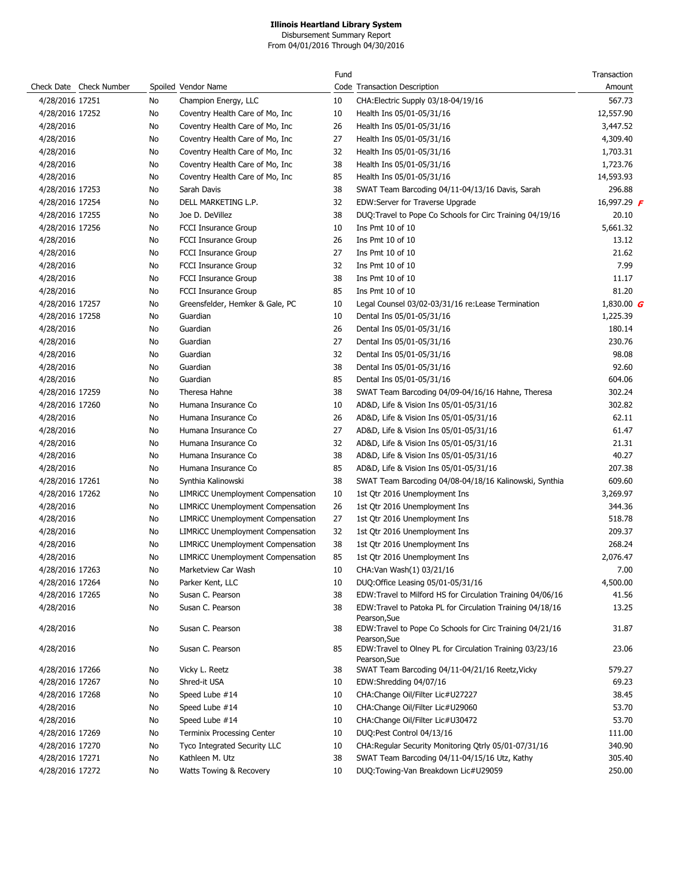Disbursement Summary Report From 04/01/2016 Through 04/30/2016

|                        |                     |    |                                          | Fund |                                                                                          | Transaction        |
|------------------------|---------------------|----|------------------------------------------|------|------------------------------------------------------------------------------------------|--------------------|
| Check Date             | <b>Check Number</b> |    | Spoiled Vendor Name                      |      | Code Transaction Description                                                             | Amount             |
| 4/28/2016 17251        |                     | No | Champion Energy, LLC                     | 10   | CHA: Electric Supply 03/18-04/19/16                                                      | 567.73             |
| 4/28/2016 17252        |                     | No | Coventry Health Care of Mo, Inc.         | 10   | Health Ins 05/01-05/31/16                                                                | 12,557.90          |
| 4/28/2016              |                     | No | Coventry Health Care of Mo, Inc.         | 26   | Health Ins 05/01-05/31/16                                                                | 3,447.52           |
| 4/28/2016              |                     | No | Coventry Health Care of Mo, Inc.         | 27   | Health Ins 05/01-05/31/16                                                                | 4,309.40           |
| 4/28/2016              |                     | No | Coventry Health Care of Mo, Inc          | 32   | Health Ins 05/01-05/31/16                                                                | 1,703.31           |
| 4/28/2016              |                     | No | Coventry Health Care of Mo, Inc.         | 38   | Health Ins 05/01-05/31/16                                                                | 1,723.76           |
| 4/28/2016              |                     | No | Coventry Health Care of Mo, Inc.         | 85   | Health Ins 05/01-05/31/16                                                                | 14,593.93          |
| 4/28/2016 17253        |                     | No | Sarah Davis                              | 38   | SWAT Team Barcoding 04/11-04/13/16 Davis, Sarah                                          | 296.88             |
| 4/28/2016 17254        |                     | No | DELL MARKETING L.P.                      | 32   | EDW:Server for Traverse Upgrade                                                          | 16,997.29 <b>F</b> |
| 4/28/2016 17255        |                     | No | Joe D. DeVillez                          | 38   | DUQ:Travel to Pope Co Schools for Circ Training 04/19/16                                 | 20.10              |
| 4/28/2016 17256        |                     | No | <b>FCCI Insurance Group</b>              | 10   | Ins Pmt 10 of 10                                                                         | 5,661.32           |
| 4/28/2016              |                     | No | <b>FCCI Insurance Group</b>              | 26   | Ins Pmt 10 of 10                                                                         | 13.12              |
| 4/28/2016              |                     | No | FCCI Insurance Group                     | 27   | Ins Pmt 10 of 10                                                                         | 21.62              |
| 4/28/2016              |                     | No | <b>FCCI Insurance Group</b>              | 32   | Ins Pmt 10 of 10                                                                         | 7.99               |
| 4/28/2016              |                     | No | <b>FCCI Insurance Group</b>              | 38   | Ins Pmt 10 of 10                                                                         | 11.17              |
| 4/28/2016              |                     | No | <b>FCCI Insurance Group</b>              | 85   | Ins Pmt 10 of 10                                                                         | 81.20              |
| 4/28/2016 17257        |                     | No | Greensfelder, Hemker & Gale, PC          | 10   | Legal Counsel 03/02-03/31/16 re:Lease Termination                                        | 1,830.00 $G$       |
| 4/28/2016 17258        |                     | No | Guardian                                 | 10   | Dental Ins 05/01-05/31/16                                                                | 1,225.39           |
| 4/28/2016              |                     | No | Guardian                                 | 26   | Dental Ins 05/01-05/31/16                                                                | 180.14             |
| 4/28/2016              |                     | No | Guardian                                 | 27   | Dental Ins 05/01-05/31/16                                                                | 230.76             |
| 4/28/2016              |                     | No | Guardian                                 | 32   | Dental Ins 05/01-05/31/16                                                                | 98.08              |
| 4/28/2016              |                     | No | Guardian                                 | 38   | Dental Ins 05/01-05/31/16                                                                | 92.60              |
| 4/28/2016              |                     | No | Guardian                                 | 85   | Dental Ins 05/01-05/31/16                                                                | 604.06             |
| 4/28/2016 17259        |                     | No | Theresa Hahne                            | 38   | SWAT Team Barcoding 04/09-04/16/16 Hahne, Theresa                                        | 302.24             |
| 4/28/2016 17260        |                     | No | Humana Insurance Co                      | 10   | AD&D, Life & Vision Ins 05/01-05/31/16                                                   | 302.82             |
| 4/28/2016              |                     | No | Humana Insurance Co                      | 26   | AD&D, Life & Vision Ins 05/01-05/31/16                                                   | 62.11              |
|                        |                     | No | Humana Insurance Co                      | 27   | AD&D, Life & Vision Ins 05/01-05/31/16                                                   | 61.47              |
| 4/28/2016              |                     | No | Humana Insurance Co                      | 32   |                                                                                          | 21.31              |
| 4/28/2016              |                     |    | Humana Insurance Co                      | 38   | AD&D, Life & Vision Ins 05/01-05/31/16<br>AD&D, Life & Vision Ins 05/01-05/31/16         | 40.27              |
| 4/28/2016<br>4/28/2016 |                     | No | Humana Insurance Co                      | 85   | AD&D, Life & Vision Ins 05/01-05/31/16                                                   | 207.38             |
| 4/28/2016 17261        |                     | No | Synthia Kalinowski                       | 38   |                                                                                          | 609.60             |
| 4/28/2016 17262        |                     | No |                                          |      | SWAT Team Barcoding 04/08-04/18/16 Kalinowski, Synthia                                   | 3,269.97           |
| 4/28/2016              |                     | No | <b>LIMRICC Unemployment Compensation</b> | 10   | 1st Qtr 2016 Unemployment Ins                                                            | 344.36             |
|                        |                     | No | <b>LIMRICC Unemployment Compensation</b> | 26   | 1st Qtr 2016 Unemployment Ins                                                            |                    |
| 4/28/2016              |                     | No | <b>LIMRICC Unemployment Compensation</b> | 27   | 1st Qtr 2016 Unemployment Ins                                                            | 518.78             |
| 4/28/2016              |                     | No | <b>LIMRICC Unemployment Compensation</b> | 32   | 1st Qtr 2016 Unemployment Ins                                                            | 209.37             |
| 4/28/2016              |                     | No | <b>LIMRICC Unemployment Compensation</b> | 38   | 1st Otr 2016 Unemployment Ins                                                            | 268.24             |
| 4/28/2016              |                     | No | <b>LIMRICC Unemployment Compensation</b> | 85   | 1st Qtr 2016 Unemployment Ins                                                            | 2,076.47           |
| 4/28/2016 17263        |                     | No | Marketview Car Wash                      | 10   | CHA: Van Wash(1) 03/21/16                                                                | 7.00               |
| 4/28/2016 17264        |                     | No | Parker Kent, LLC                         | 10   | DUQ:Office Leasing 05/01-05/31/16                                                        | 4,500.00           |
| 4/28/2016 17265        |                     | No | Susan C. Pearson                         | 38   | EDW:Travel to Milford HS for Circulation Training 04/06/16                               | 41.56              |
| 4/28/2016              |                     | No | Susan C. Pearson                         | 38   | EDW:Travel to Patoka PL for Circulation Training 04/18/16                                | 13.25              |
| 4/28/2016              |                     | No | Susan C. Pearson                         | 38   | Pearson, Sue<br>EDW:Travel to Pope Co Schools for Circ Training 04/21/16<br>Pearson, Sue | 31.87              |
| 4/28/2016              |                     | No | Susan C. Pearson                         | 85   | EDW:Travel to Olney PL for Circulation Training 03/23/16<br>Pearson, Sue                 | 23.06              |
| 4/28/2016 17266        |                     | No | Vicky L. Reetz                           | 38   | SWAT Team Barcoding 04/11-04/21/16 Reetz, Vicky                                          | 579.27             |
| 4/28/2016 17267        |                     | No | Shred-it USA                             | 10   | EDW:Shredding 04/07/16                                                                   | 69.23              |
| 4/28/2016 17268        |                     | No | Speed Lube #14                           | 10   | CHA:Change Oil/Filter Lic#U27227                                                         | 38.45              |
| 4/28/2016              |                     | No | Speed Lube #14                           | 10   | CHA: Change Oil/Filter Lic#U29060                                                        | 53.70              |
| 4/28/2016              |                     | No | Speed Lube #14                           | 10   | CHA:Change Oil/Filter Lic#U30472                                                         | 53.70              |
| 4/28/2016 17269        |                     | No | <b>Terminix Processing Center</b>        | 10   | DUQ:Pest Control 04/13/16                                                                | 111.00             |
| 4/28/2016 17270        |                     | No | Tyco Integrated Security LLC             | 10   | CHA:Regular Security Monitoring Qtrly 05/01-07/31/16                                     | 340.90             |
| 4/28/2016 17271        |                     | No | Kathleen M. Utz                          | 38   | SWAT Team Barcoding 04/11-04/15/16 Utz, Kathy                                            | 305.40             |
| 4/28/2016 17272        |                     | No | Watts Towing & Recovery                  | 10   | DUQ:Towing-Van Breakdown Lic#U29059                                                      | 250.00             |
|                        |                     |    |                                          |      |                                                                                          |                    |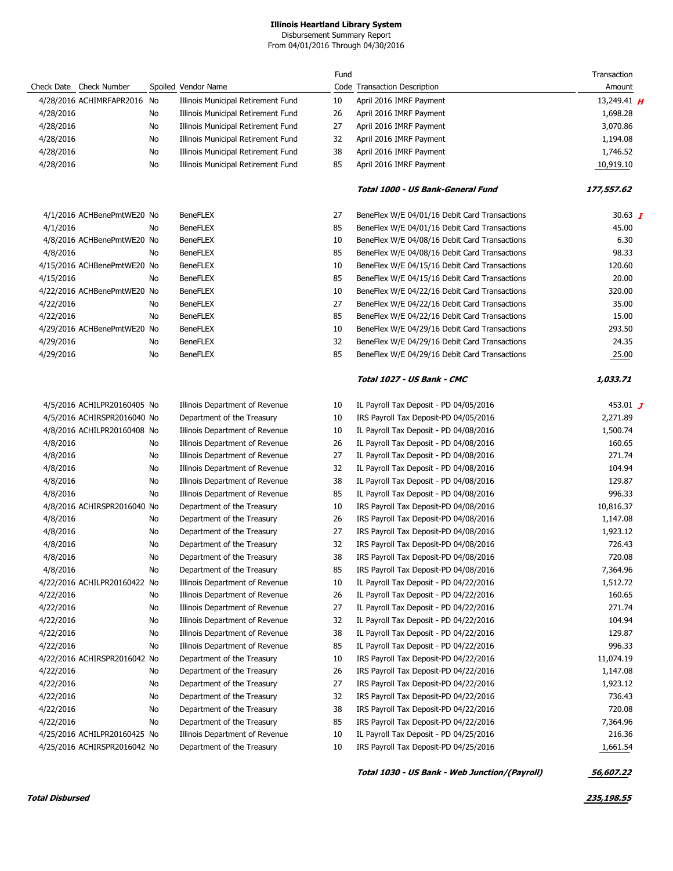Disbursement Summary Report

From 04/01/2016 Through 04/30/2016

|           |                              |    |                                    | Fund |                                               | Transaction    |
|-----------|------------------------------|----|------------------------------------|------|-----------------------------------------------|----------------|
|           | Check Date Check Number      |    | Spoiled Vendor Name                |      | Code Transaction Description                  | Amount         |
|           | 4/28/2016 ACHIMRFAPR2016     | No | Illinois Municipal Retirement Fund | 10   | April 2016 IMRF Payment                       | 13,249.41 $H$  |
| 4/28/2016 |                              | No | Illinois Municipal Retirement Fund | 26   | April 2016 IMRF Payment                       | 1,698.28       |
| 4/28/2016 |                              | No | Illinois Municipal Retirement Fund | 27   | April 2016 IMRF Payment                       | 3,070.86       |
| 4/28/2016 |                              | No | Illinois Municipal Retirement Fund | 32   | April 2016 IMRF Payment                       | 1,194.08       |
| 4/28/2016 |                              | No | Illinois Municipal Retirement Fund | 38   | April 2016 IMRF Payment                       | 1,746.52       |
| 4/28/2016 |                              | No | Illinois Municipal Retirement Fund | 85   | April 2016 IMRF Payment                       | 10,919.10      |
|           |                              |    |                                    |      |                                               |                |
|           |                              |    |                                    |      | Total 1000 - US Bank-General Fund             | 177,557.62     |
|           | 4/1/2016 ACHBenePmtWE20 No   |    | <b>BeneFLEX</b>                    | 27   | BeneFlex W/E 04/01/16 Debit Card Transactions | 30.63 $\bm{I}$ |
| 4/1/2016  |                              | No | <b>BeneFLEX</b>                    | 85   | BeneFlex W/E 04/01/16 Debit Card Transactions | 45.00          |
|           | 4/8/2016 ACHBenePmtWE20 No   |    | <b>BeneFLEX</b>                    | 10   | BeneFlex W/E 04/08/16 Debit Card Transactions | 6.30           |
| 4/8/2016  |                              | No | <b>BeneFLEX</b>                    | 85   | BeneFlex W/E 04/08/16 Debit Card Transactions | 98.33          |
|           | 4/15/2016 ACHBenePmtWE20 No  |    | <b>BeneFLEX</b>                    | 10   | BeneFlex W/E 04/15/16 Debit Card Transactions | 120.60         |
| 4/15/2016 |                              | No | <b>BeneFLEX</b>                    | 85   | BeneFlex W/E 04/15/16 Debit Card Transactions | 20.00          |
|           | 4/22/2016 ACHBenePmtWE20 No  |    | <b>BeneFLEX</b>                    | 10   | BeneFlex W/E 04/22/16 Debit Card Transactions | 320.00         |
| 4/22/2016 |                              | No | <b>BeneFLEX</b>                    | 27   | BeneFlex W/E 04/22/16 Debit Card Transactions | 35.00          |
| 4/22/2016 |                              | No | <b>BeneFLEX</b>                    | 85   | BeneFlex W/E 04/22/16 Debit Card Transactions | 15.00          |
|           | 4/29/2016 ACHBenePmtWE20 No  |    | <b>BeneFLEX</b>                    | 10   | BeneFlex W/E 04/29/16 Debit Card Transactions | 293.50         |
| 4/29/2016 |                              | No | <b>BeneFLEX</b>                    | 32   | BeneFlex W/E 04/29/16 Debit Card Transactions | 24.35          |
| 4/29/2016 |                              | No | <b>BeneFLEX</b>                    | 85   | BeneFlex W/E 04/29/16 Debit Card Transactions | 25.00          |
|           |                              |    |                                    |      |                                               |                |
|           |                              |    |                                    |      | Total 1027 - US Bank - CMC                    | 1,033.71       |
|           | 4/5/2016 ACHILPR20160405 No  |    | Illinois Department of Revenue     | 10   | IL Payroll Tax Deposit - PD 04/05/2016        | 453.01 $J$     |
|           | 4/5/2016 ACHIRSPR2016040 No  |    | Department of the Treasury         | 10   | IRS Payroll Tax Deposit-PD 04/05/2016         | 2,271.89       |
|           | 4/8/2016 ACHILPR20160408 No  |    | Illinois Department of Revenue     | 10   | IL Payroll Tax Deposit - PD 04/08/2016        | 1,500.74       |
| 4/8/2016  |                              | No | Illinois Department of Revenue     | 26   | IL Payroll Tax Deposit - PD 04/08/2016        | 160.65         |
| 4/8/2016  |                              | No | Illinois Department of Revenue     | 27   | IL Payroll Tax Deposit - PD 04/08/2016        | 271.74         |
| 4/8/2016  |                              | No | Illinois Department of Revenue     | 32   | IL Payroll Tax Deposit - PD 04/08/2016        | 104.94         |
| 4/8/2016  |                              | No | Illinois Department of Revenue     | 38   | IL Payroll Tax Deposit - PD 04/08/2016        | 129.87         |
| 4/8/2016  |                              | No | Illinois Department of Revenue     | 85   | IL Payroll Tax Deposit - PD 04/08/2016        | 996.33         |
|           | 4/8/2016 ACHIRSPR2016040 No  |    | Department of the Treasury         | 10   | IRS Payroll Tax Deposit-PD 04/08/2016         | 10,816.37      |
| 4/8/2016  |                              | No | Department of the Treasury         | 26   | IRS Payroll Tax Deposit-PD 04/08/2016         | 1,147.08       |
| 4/8/2016  |                              | No | Department of the Treasury         | 27   | IRS Payroll Tax Deposit-PD 04/08/2016         | 1,923.12       |
| 4/8/2016  |                              | No | Department of the Treasury         | 32   | IRS Payroll Tax Deposit-PD 04/08/2016         | 726.43         |
| 4/8/2016  |                              | No | Department of the Treasury         | 38   | IRS Payroll Tax Deposit-PD 04/08/2016         | 720.08         |
| 4/8/2016  |                              | No | Department of the Treasury         | 85   | IRS Payroll Tax Deposit-PD 04/08/2016         | 7,364.96       |
|           | 4/22/2016 ACHILPR20160422 No |    | Illinois Department of Revenue     | 10   | IL Payroll Tax Deposit - PD 04/22/2016        | 1,512.72       |
| 4/22/2016 |                              | No | Illinois Department of Revenue     | 26   | IL Payroll Tax Deposit - PD 04/22/2016        | 160.65         |
| 4/22/2016 |                              | No | Illinois Department of Revenue     | 27   | IL Payroll Tax Deposit - PD 04/22/2016        | 271.74         |
| 4/22/2016 |                              | No | Illinois Department of Revenue     | 32   | IL Payroll Tax Deposit - PD 04/22/2016        | 104.94         |
| 4/22/2016 |                              | No | Illinois Department of Revenue     | 38   | IL Payroll Tax Deposit - PD 04/22/2016        | 129.87         |
| 4/22/2016 |                              | No | Illinois Department of Revenue     | 85   | IL Payroll Tax Deposit - PD 04/22/2016        | 996.33         |
|           | 4/22/2016 ACHIRSPR2016042 No |    | Department of the Treasury         | 10   | IRS Payroll Tax Deposit-PD 04/22/2016         | 11,074.19      |
| 4/22/2016 |                              | No | Department of the Treasury         | 26   | IRS Payroll Tax Deposit-PD 04/22/2016         | 1,147.08       |
|           |                              |    |                                    | 27   |                                               |                |
| 4/22/2016 |                              | No | Department of the Treasury         |      | IRS Payroll Tax Deposit-PD 04/22/2016         | 1,923.12       |
| 4/22/2016 |                              | No | Department of the Treasury         | 32   | IRS Payroll Tax Deposit-PD 04/22/2016         | 736.43         |
| 4/22/2016 |                              | No | Department of the Treasury         | 38   | IRS Payroll Tax Deposit-PD 04/22/2016         | 720.08         |
| 4/22/2016 |                              | No | Department of the Treasury         | 85   | IRS Payroll Tax Deposit-PD 04/22/2016         | 7,364.96       |
|           | 4/25/2016 ACHILPR20160425 No |    | Illinois Department of Revenue     | 10   | IL Payroll Tax Deposit - PD 04/25/2016        | 216.36         |
|           | 4/25/2016 ACHIRSPR2016042 No |    | Department of the Treasury         | 10   | IRS Payroll Tax Deposit-PD 04/25/2016         | 1,661.54       |
|           |                              |    |                                    |      | Total 1030 - US Bank - Web Junction/(Payroll) | 56,607.22      |

**Total Disbursed 235,198.55**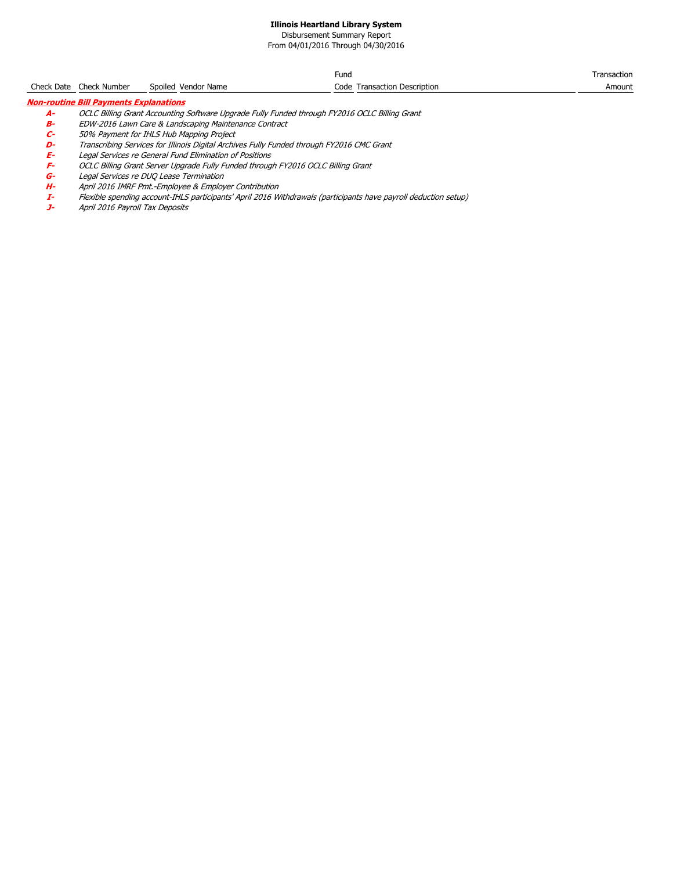Disbursement Summary Report

From 04/01/2016 Through 04/30/2016

|                                               |                         |                     | Fund                         | Transaction |  |  |  |  |  |
|-----------------------------------------------|-------------------------|---------------------|------------------------------|-------------|--|--|--|--|--|
|                                               | Check Date Check Number | Spoiled Vendor Name | Code Transaction Description | Amount      |  |  |  |  |  |
| <b>Non-routine Bill Payments Explanations</b> |                         |                     |                              |             |  |  |  |  |  |

- - **A-** OCLC Billing Grant Accounting Software Upgrade Fully Funded through FY2016 OCLC Billing Grant<br>**B-** EDW-2016 Lawn Care & Landscaping Maintenance Contract
	-
	- **C-** 50% Payment for IHLS Hub Mapping Project
	- **B-** EDW-2016 Lawn Care & Landscaping Maintenance Contract<br> **C-** 50% Payment for IHLS Hub Mapping Project<br> **D-** Transcribing Services for Illinois Digital Archives Fully Funded<br> **E-** Legal Services re General Fund Eliminat **D-** Transcribing Services for Illinois Digital Archives Fully Funded through FY2016 CMC Grant
	- **E-** Legal Services re General Fund Elimination of Positions
	- **OCLC Billing Grant Server Upgrade Fully Funded through FY2016 OCLC Billing Grant**
	- **G-** Legal Services re DUQ Lease Termination<br>**H-** April 2016 IMRF Pmt.-Employee & Employ<br>**I-** Flexible spending account-IHLS participani
	- **H-** April 2016 IMRF Pmt.-Employee & Employer Contribution
	- **I-** Flexible spending account-IHLS participants' April 2016 Withdrawals (participants have payroll deduction setup)
	- April 2016 Payroll Tax Deposits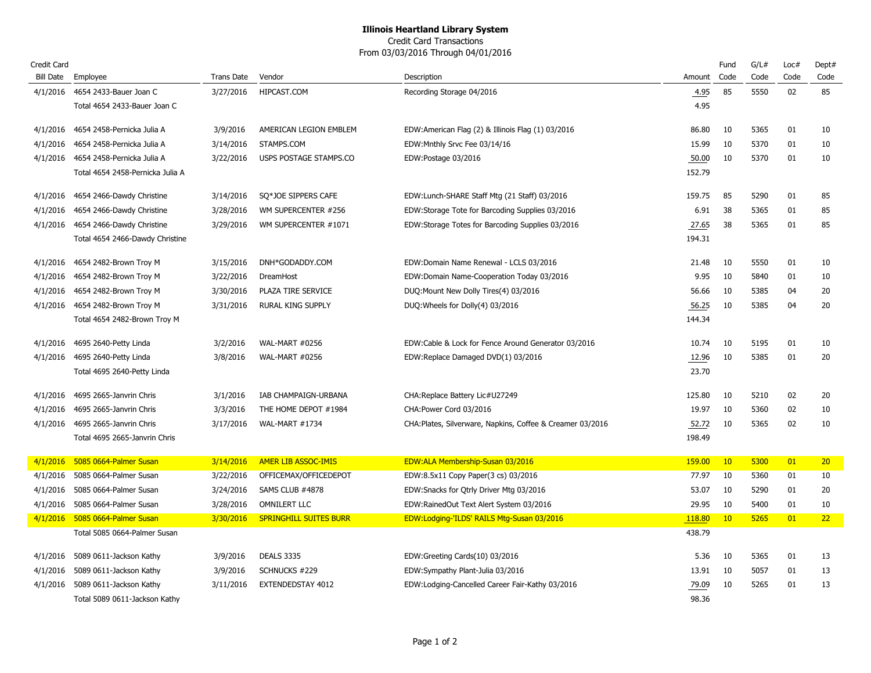#### Credit Card Transactions From 03/03/2016 Through 04/01/2016

| Credit Card |                                    |            |                               |                                                            |        | Fund | G/L# | Loc# | Dept#           |
|-------------|------------------------------------|------------|-------------------------------|------------------------------------------------------------|--------|------|------|------|-----------------|
| Bill Date   | Employee                           | Trans Date | Vendor                        | Description                                                | Amount | Code | Code | Code | Code            |
|             | 4/1/2016 4654 2433-Bauer Joan C    | 3/27/2016  | HIPCAST.COM                   | Recording Storage 04/2016                                  | 4.95   | 85   | 5550 | 02   | 85              |
|             | Total 4654 2433-Bauer Joan C       |            |                               |                                                            | 4.95   |      |      |      |                 |
| 4/1/2016    | 4654 2458-Pernicka Julia A         | 3/9/2016   | AMERICAN LEGION EMBLEM        | EDW:American Flag (2) & Illinois Flag (1) 03/2016          | 86.80  | 10   | 5365 | 01   | 10              |
| 4/1/2016    | 4654 2458-Pernicka Julia A         | 3/14/2016  | STAMPS.COM                    | EDW: Mnthly Srvc Fee 03/14/16                              | 15.99  | 10   | 5370 | 01   | 10              |
| 4/1/2016    | 4654 2458-Pernicka Julia A         | 3/22/2016  | USPS POSTAGE STAMPS.CO        | EDW:Postage 03/2016                                        | 50.00  | 10   | 5370 | 01   | 10              |
|             | Total 4654 2458-Pernicka Julia A   |            |                               |                                                            | 152.79 |      |      |      |                 |
| 4/1/2016    | 4654 2466-Dawdy Christine          | 3/14/2016  | SQ*JOE SIPPERS CAFE           | EDW:Lunch-SHARE Staff Mtg (21 Staff) 03/2016               | 159.75 | 85   | 5290 | 01   | 85              |
| 4/1/2016    | 4654 2466-Dawdy Christine          | 3/28/2016  | WM SUPERCENTER #256           | EDW:Storage Tote for Barcoding Supplies 03/2016            | 6.91   | 38   | 5365 | 01   | 85              |
|             | 4/1/2016 4654 2466-Dawdy Christine | 3/29/2016  | WM SUPERCENTER #1071          | EDW:Storage Totes for Barcoding Supplies 03/2016           | 27.65  | 38   | 5365 | 01   | 85              |
|             | Total 4654 2466-Dawdy Christine    |            |                               |                                                            | 194.31 |      |      |      |                 |
| 4/1/2016    | 4654 2482-Brown Troy M             | 3/15/2016  | DNH*GODADDY.COM               | EDW:Domain Name Renewal - LCLS 03/2016                     | 21.48  | 10   | 5550 | 01   | 10              |
| 4/1/2016    | 4654 2482-Brown Troy M             | 3/22/2016  | DreamHost                     | EDW:Domain Name-Cooperation Today 03/2016                  | 9.95   | 10   | 5840 | 01   | 10              |
| 4/1/2016    | 4654 2482-Brown Troy M             | 3/30/2016  | PLAZA TIRE SERVICE            | DUQ: Mount New Dolly Tires(4) 03/2016                      | 56.66  | 10   | 5385 | 04   | 20              |
| 4/1/2016    | 4654 2482-Brown Troy M             | 3/31/2016  | RURAL KING SUPPLY             | DUQ: Wheels for Dolly(4) 03/2016                           | 56.25  | 10   | 5385 | 04   | 20              |
|             | Total 4654 2482-Brown Troy M       |            |                               |                                                            | 144.34 |      |      |      |                 |
| 4/1/2016    | 4695 2640-Petty Linda              | 3/2/2016   | <b>WAL-MART #0256</b>         | EDW:Cable & Lock for Fence Around Generator 03/2016        | 10.74  | 10   | 5195 | 01   | 10              |
|             | 4/1/2016 4695 2640-Petty Linda     | 3/8/2016   | <b>WAL-MART #0256</b>         | EDW:Replace Damaged DVD(1) 03/2016                         | 12.96  | 10   | 5385 | 01   | 20              |
|             | Total 4695 2640-Petty Linda        |            |                               |                                                            | 23.70  |      |      |      |                 |
| 4/1/2016    | 4695 2665-Janvrin Chris            | 3/1/2016   | IAB CHAMPAIGN-URBANA          | CHA: Replace Battery Lic#U27249                            | 125.80 | 10   | 5210 | 02   | 20              |
| 4/1/2016    | 4695 2665-Janvrin Chris            | 3/3/2016   | THE HOME DEPOT #1984          | CHA: Power Cord 03/2016                                    | 19.97  | 10   | 5360 | 02   | 10              |
| 4/1/2016    | 4695 2665-Janvrin Chris            | 3/17/2016  | WAL-MART #1734                | CHA: Plates, Silverware, Napkins, Coffee & Creamer 03/2016 | 52.72  | 10   | 5365 | 02   | 10              |
|             | Total 4695 2665-Janvrin Chris      |            |                               |                                                            | 198.49 |      |      |      |                 |
| 4/1/2016    | 5085 0664-Palmer Susan             | 3/14/2016  | <b>AMER LIB ASSOC-IMIS</b>    | <b>EDW:ALA Membership-Susan 03/2016</b>                    | 159.00 | 10   | 5300 | 01   | 20 <sub>2</sub> |
| 4/1/2016    | 5085 0664-Palmer Susan             | 3/22/2016  | OFFICEMAX/OFFICEDEPOT         | EDW:8.5x11 Copy Paper(3 cs) 03/2016                        | 77.97  | 10   | 5360 | 01   | 10              |
| 4/1/2016    | 5085 0664-Palmer Susan             | 3/24/2016  | SAMS CLUB #4878               | EDW: Snacks for Qtrly Driver Mtg 03/2016                   | 53.07  | 10   | 5290 | 01   | 20              |
| 4/1/2016    | 5085 0664-Palmer Susan             | 3/28/2016  | <b>OMNILERT LLC</b>           | EDW:RainedOut Text Alert System 03/2016                    | 29.95  | 10   | 5400 | 01   | 10              |
|             | 4/1/2016 5085 0664-Palmer Susan    | 3/30/2016  | <b>SPRINGHILL SUITES BURR</b> | EDW:Lodging-'ILDS' RAILS Mtg-Susan 03/2016                 | 118.80 | 10   | 5265 | 01   | 22              |
|             | Total 5085 0664-Palmer Susan       |            |                               |                                                            | 438.79 |      |      |      |                 |
| 4/1/2016    | 5089 0611-Jackson Kathy            | 3/9/2016   | <b>DEALS 3335</b>             | EDW:Greeting Cards(10) 03/2016                             | 5.36   | 10   | 5365 | 01   | 13              |
| 4/1/2016    | 5089 0611-Jackson Kathy            | 3/9/2016   | SCHNUCKS #229                 | EDW:Sympathy Plant-Julia 03/2016                           | 13.91  | 10   | 5057 | 01   | 13              |
| 4/1/2016    | 5089 0611-Jackson Kathy            | 3/11/2016  | EXTENDEDSTAY 4012             | EDW:Lodging-Cancelled Career Fair-Kathy 03/2016            | 79.09  | 10   | 5265 | 01   | 13              |
|             | Total 5089 0611-Jackson Kathy      |            |                               |                                                            | 98.36  |      |      |      |                 |